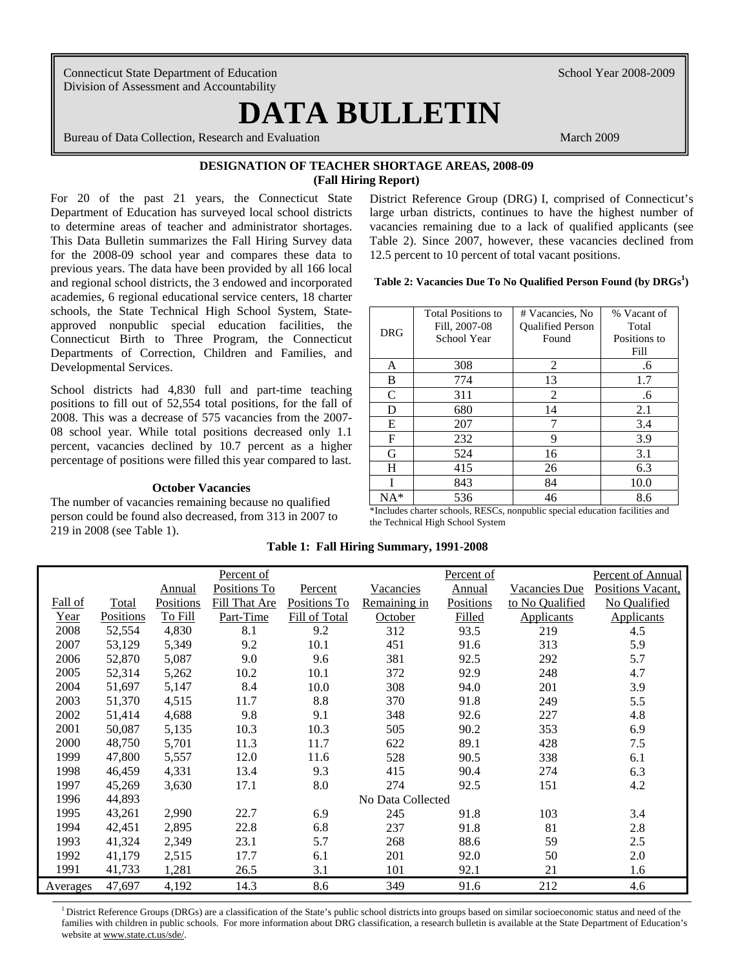Connecticut State Department of Education School Year 2008-2009 Division of Assessment and Accountability

 $\overline{\phantom{a}}$ 

# **DATA BULLETIN**

Bureau of Data Collection, Research and Evaluation March 2009 March 2009

### **DESIGNATION OF TEACHER SHORTAGE AREAS, 2008-09 (Fall Hiring Report)**

 This Data Bulletin summarizes the Fall Hiring Survey data previous years. The data have been provided by all 166 local For 20 of the past 21 years, the Connecticut State Department of Education has surveyed local school districts to determine areas of teacher and administrator shortages. for the 2008-09 school year and compares these data to and regional school districts, the 3 endowed and incorporated academies, 6 regional educational service centers, 18 charter schools, the State Technical High School System, Stateapproved nonpublic special education facilities, the Connecticut Birth to Three Program, the Connecticut Departments of Correction, Children and Families, and Developmental Services.

 08 school year. While total positions decreased only 1.1 School districts had 4,830 full and part-time teaching positions to fill out of 52,554 total positions, for the fall of 2008. This was a decrease of 575 vacancies from the 2007 percent, vacancies declined by 10.7 percent as a higher percentage of positions were filled this year compared to last.

#### **October Vacancies**

 person could be found also decreased, from 313 in 2007 to The number of vacancies remaining because no qualified 219 in 2008 (see Table 1).

 12.5 percent to 10 percent of total vacant positions. District Reference Group (DRG) I, comprised of Connecticut's large urban districts, continues to have the highest number of vacancies remaining due to a lack of qualified applicants (see Table 2). Since 2007, however, these vacancies declined from

Table 2: Vacancies Due To No Qualified Person Found (by DRGs<sup>1</sup>)

|            | <b>Total Positions to</b> | # Vacancies, No         | % Vacant of  |
|------------|---------------------------|-------------------------|--------------|
| <b>DRG</b> | Fill, 2007-08             | <b>Oualified Person</b> | Total        |
|            | School Year               | Found                   | Positions to |
|            |                           |                         | Fill         |
| A          | 308                       | 2                       | .6           |
| B          | 774                       | 13                      | 1.7          |
| C          | 311                       | $\overline{2}$          | .6           |
| D          | 680                       | 14                      | 2.1          |
| Е          | 207                       |                         | 3.4          |
| F          | 232                       | 9                       | 3.9          |
| G          | 524                       | 16                      | 3.1          |
| H          | 415                       | 26                      | 6.3          |
|            | 843                       | 84                      | 10.0         |
| NA*        | 536                       | 46                      | 8.6          |
| $\cdots$   | $\mathbf{r}$<br>$n - q$   | .<br>$\cdot$ $\cdot$    | $\sim$<br>   |

\*Includes charter schools, RESCs, nonpublic special education facilities and the Technical High School System

#### **Table 1: Fall Hiring Summary, 1991-2008**

|          |           |           | Percent of    |               |                   | Percent of       |                   | <b>Percent of Annual</b> |
|----------|-----------|-----------|---------------|---------------|-------------------|------------------|-------------------|--------------------------|
|          |           | Annual    | Positions To  | Percent       | Vacancies         | Annual           | Vacancies Due     | Positions Vacant.        |
| Fall of  | Total     | Positions | Fill That Are | Positions To  | Remaining in      | <b>Positions</b> | to No Qualified   | No Qualified             |
| Year     | Positions | To Fill   | Part-Time     | Fill of Total | October           | Filled           | <b>Applicants</b> | <b>Applicants</b>        |
| 2008     | 52,554    | 4,830     | 8.1           | 9.2           | 312               | 93.5             | 219               | 4.5                      |
| 2007     | 53,129    | 5,349     | 9.2           | 10.1          | 451               | 91.6             | 313               | 5.9                      |
| 2006     | 52,870    | 5,087     | 9.0           | 9.6           | 381               | 92.5             | 292               | 5.7                      |
| 2005     | 52,314    | 5,262     | 10.2          | 10.1          | 372               | 92.9             | 248               | 4.7                      |
| 2004     | 51,697    | 5,147     | 8.4           | 10.0          | 308               | 94.0             | 201               | 3.9                      |
| 2003     | 51,370    | 4,515     | 11.7          | 8.8           | 370               | 91.8             | 249               | 5.5                      |
| 2002     | 51,414    | 4,688     | 9.8           | 9.1           | 348               | 92.6             | 227               | 4.8                      |
| 2001     | 50,087    | 5,135     | 10.3          | 10.3          | 505               | 90.2             | 353               | 6.9                      |
| 2000     | 48,750    | 5,701     | 11.3          | 11.7          | 622               | 89.1             | 428               | 7.5                      |
| 1999     | 47,800    | 5,557     | 12.0          | 11.6          | 528               | 90.5             | 338               | 6.1                      |
| 1998     | 46,459    | 4,331     | 13.4          | 9.3           | 415               | 90.4             | 274               | 6.3                      |
| 1997     | 45,269    | 3,630     | 17.1          | 8.0           | 274               | 92.5             | 151               | 4.2                      |
| 1996     | 44,893    |           |               |               | No Data Collected |                  |                   |                          |
| 1995     | 43,261    | 2,990     | 22.7          | 6.9           | 245               | 91.8             | 103               | 3.4                      |
| 1994     | 42,451    | 2,895     | 22.8          | 6.8           | 237               | 91.8             | 81                | 2.8                      |
| 1993     | 41,324    | 2,349     | 23.1          | 5.7           | 268               | 88.6             | 59                | 2.5                      |
| 1992     | 41,179    | 2,515     | 17.7          | 6.1           | 201               | 92.0             | 50                | 2.0                      |
| 1991     | 41,733    | 1,281     | 26.5          | 3.1           | 101               | 92.1             | 21                | 1.6                      |
| Averages | 47,697    | 4,192     | 14.3          | 8.6           | 349               | 91.6             | 212               | 4.6                      |

 families with children in public schools. For more information about DRG classification, a research bulletin is available at the State Department of Education's <sup>1</sup> District Reference Groups (DRGs) are a classification of the State's public school districts into groups based on similar socioeconomic status and need of the website at www.state.ct.us/sde/.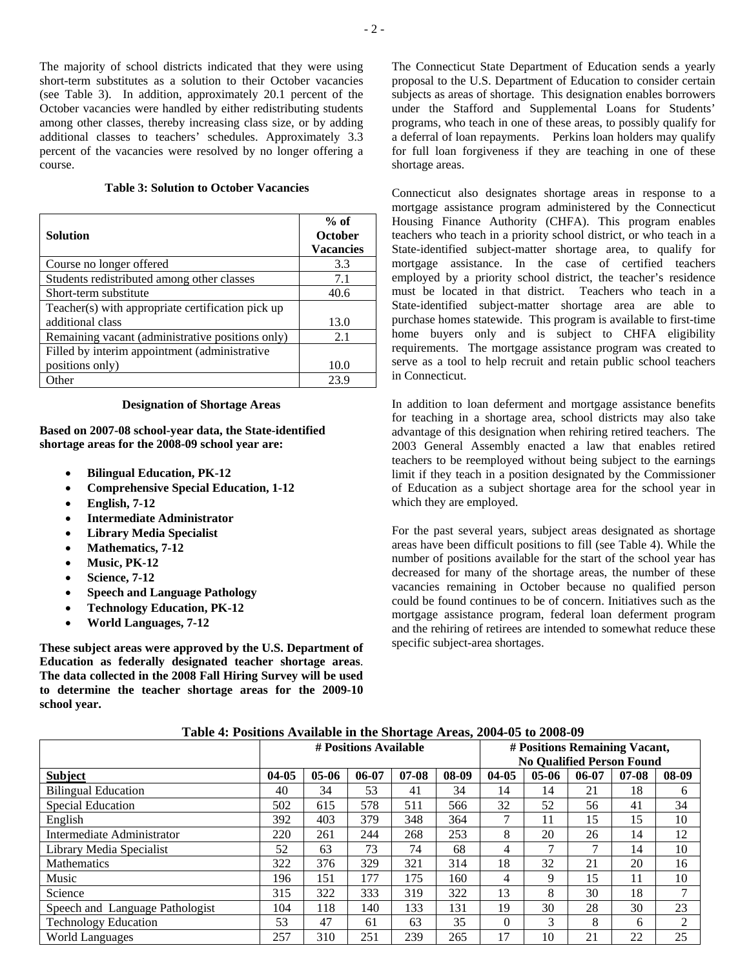The majority of school districts indicated that they were using short-term substitutes as a solution to their October vacancies (see Table 3). In addition, approximately 20.1 percent of the October vacancies were handled by either redistributing students among other classes, thereby increasing class size, or by adding additional classes to teachers' schedules. Approximately 3.3 percent of the vacancies were resolved by no longer offering a course.

#### **Table 3: Solution to October Vacancies**

| <b>Solution</b>                                   | $%$ of<br>October<br><b>Vacancies</b> |
|---------------------------------------------------|---------------------------------------|
| Course no longer offered                          | 3.3                                   |
| Students redistributed among other classes        | 7.1                                   |
| Short-term substitute                             | 40.6                                  |
| Teacher(s) with appropriate certification pick up |                                       |
| additional class                                  | 13.0                                  |
| Remaining vacant (administrative positions only)  | 2.1                                   |
| Filled by interim appointment (administrative     |                                       |
| positions only)                                   | 10.0                                  |
| Other                                             | 23.9                                  |

#### **Designation of Shortage Areas**

 **shortage areas for the 2008-09 school year are: Based on 2007-08 school-year data, the State-identified** 

- **Bilingual Education, PK-12**
- **Comprehensive Special Education, 1-12**
- **English, 7-12**
- **Intermediate Administrator**
- **Library Media Specialist**
- **Mathematics, 7-12**
- **Music, PK-12**
- **Science, 7-12**
- **Speech and Language Pathology**
- **Technology Education, PK-12**
- **World Languages, 7-12**

**These subject areas were approved by the U.S. Department of Education as federally designated teacher shortage areas**. **The data collected in the 2008 Fall Hiring Survey will be used to determine the teacher shortage areas for the 2009-10 school year.** 

 proposal to the U.S. Department of Education to consider certain The Connecticut State Department of Education sends a yearly subjects as areas of shortage. This designation enables borrowers under the Stafford and Supplemental Loans for Students' programs, who teach in one of these areas, to possibly qualify for a deferral of loan repayments. Perkins loan holders may qualify for full loan forgiveness if they are teaching in one of these shortage areas.

Connecticut also designates shortage areas in response to a mortgage assistance program administered by the Connecticut Housing Finance Authority (CHFA). This program enables teachers who teach in a priority school district, or who teach in a State-identified subject-matter shortage area, to qualify for mortgage assistance. In the case of certified teachers employed by a priority school district, the teacher's residence must be located in that district. Teachers who teach in a State-identified subject-matter shortage area are able to purchase homes statewide. This program is available to first-time home buyers only and is subject to CHFA eligibility requirements. The mortgage assistance program was created to serve as a tool to help recruit and retain public school teachers in Connecticut.

 limit if they teach in a position designated by the Commissioner In addition to loan deferment and mortgage assistance benefits for teaching in a shortage area, school districts may also take advantage of this designation when rehiring retired teachers. The 2003 General Assembly enacted a law that enables retired teachers to be reemployed without being subject to the earnings of Education as a subject shortage area for the school year in which they are employed.

decreased for many of the shortage areas, the number of these could be found continues to be of concern. Initiatives such as the For the past several years, subject areas designated as shortage areas have been difficult positions to fill (see Table 4). While the number of positions available for the start of the school year has vacancies remaining in October because no qualified person mortgage assistance program, federal loan deferment program and the rehiring of retirees are intended to somewhat reduce these specific subject-area shortages.

|  |  |  | Table 4: Positions Available in the Shortage Areas, 2004-05 to 2008-09 |  |
|--|--|--|------------------------------------------------------------------------|--|
|  |  |  |                                                                        |  |

| THE TO POINT TO A REPORT OF THE VIOL THAT THE VIOLENCE OF THE VIOLENCE OF |                       |         |           |           |       |                                  |         |           |           |                |  |
|---------------------------------------------------------------------------|-----------------------|---------|-----------|-----------|-------|----------------------------------|---------|-----------|-----------|----------------|--|
|                                                                           | # Positions Available |         |           |           |       | # Positions Remaining Vacant,    |         |           |           |                |  |
|                                                                           |                       |         |           |           |       | <b>No Qualified Person Found</b> |         |           |           |                |  |
| <b>Subject</b>                                                            | $04-05$               | $05-06$ | $06 - 07$ | $07 - 08$ | 08-09 | $04 - 05$                        | $05-06$ | $06 - 07$ | $07 - 08$ | 08-09          |  |
| <b>Bilingual Education</b>                                                | 40                    | 34      | 53        | 41        | 34    | 14                               | 14      | 21        | 18        | 6              |  |
| <b>Special Education</b>                                                  | 502                   | 615     | 578       | 511       | 566   | 32                               | 52      | 56        | 41        | 34             |  |
| English                                                                   | 392                   | 403     | 379       | 348       | 364   |                                  | 11      | 15        | 15        | 10             |  |
| Intermediate Administrator                                                | 220                   | 261     | 244       | 268       | 253   | 8                                | 20      | 26        | 14        | 12             |  |
| Library Media Specialist                                                  | 52                    | 63      | 73        | 74        | 68    | 4                                | 7       |           | 14        | 10             |  |
| Mathematics                                                               | 322                   | 376     | 329       | 321       | 314   | 18                               | 32      | 21        | 20        | 16             |  |
| Music                                                                     | 196                   | 151     | 177       | 175       | 160   | 4                                | 9       | 15        | 11        | 10             |  |
| Science                                                                   | 315                   | 322     | 333       | 319       | 322   | 13                               | 8       | 30        | 18        | ⇁              |  |
| Speech and Language Pathologist                                           | 104                   | 118     | 140       | 133       | 131   | 19                               | 30      | 28        | 30        | 23             |  |
| <b>Technology Education</b>                                               | 53                    | 47      | 61        | 63        | 35    | $\Omega$                         | 3       | 8         | 6         | $\mathfrak{D}$ |  |
| <b>World Languages</b>                                                    | 257                   | 310     | 251       | 239       | 265   | 17                               | 10      | 21        | 22        | 25             |  |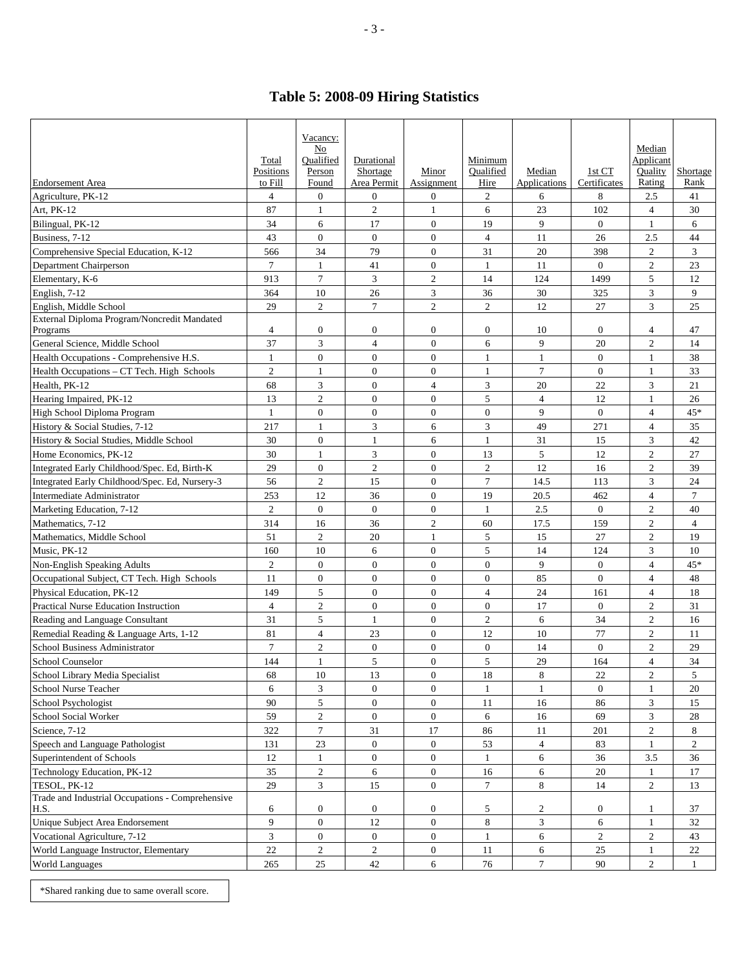## **Table 5: 2008-09 Hiring Statistics**

| <b>Endorsement Area</b>                                  | Total<br>Positions<br>to Fill | Vacancy:<br>No<br>Oualified<br>Person<br>Found | Durational<br>Shortage<br>Area Permit | Minor<br>Assignment | Minimum<br>Oualified<br>Hire | Median<br>Applications | 1st CT<br>Certificates | Median<br>Applicant<br>Quality<br>Rating | Shortage<br>Rank |
|----------------------------------------------------------|-------------------------------|------------------------------------------------|---------------------------------------|---------------------|------------------------------|------------------------|------------------------|------------------------------------------|------------------|
| Agriculture, PK-12                                       | $\overline{4}$                | $\mathbf{0}$                                   | $\overline{0}$                        | $\overline{0}$      | $\overline{c}$               | 6                      | 8                      | 2.5                                      | 41               |
| Art, PK-12                                               | 87                            | $\mathbf{1}$                                   | $\mathfrak{2}$                        | $\mathbf{1}$        | 6                            | 23                     | 102                    | $\overline{4}$                           | 30               |
| Bilingual, PK-12                                         | 34                            | 6                                              | 17                                    | $\mathbf{0}$        | 19                           | 9                      | $\overline{0}$         | 1                                        | 6                |
| Business, 7-12                                           | 43                            | $\overline{0}$                                 | $\mathbf{0}$                          | $\mathbf{0}$        | $\overline{4}$               | 11                     | 26                     | 2.5                                      | 44               |
| Comprehensive Special Education, K-12                    | 566                           | 34                                             | 79                                    | $\overline{0}$      | 31                           | 20                     | 398                    | $\overline{c}$                           | 3                |
| Department Chairperson                                   | $\tau$                        | $\mathbf{1}$                                   | 41                                    | $\overline{0}$      | $\mathbf{1}$                 | 11                     | $\overline{0}$         | $\overline{c}$                           | 23               |
| Elementary, K-6                                          | 913                           | $\overline{7}$                                 | 3                                     | $\overline{c}$      | 14                           | 124                    | 1499                   | 5                                        | 12               |
| English, 7-12                                            | 364                           | 10                                             | 26                                    | 3                   | 36                           | 30                     | 325                    | 3                                        | 9                |
| English, Middle School                                   | 29                            | $\overline{2}$                                 | $\overline{7}$                        | $\overline{2}$      | $\overline{2}$               | 12                     | 27                     | 3                                        | 25               |
| External Diploma Program/Noncredit Mandated              |                               |                                                |                                       |                     |                              |                        |                        |                                          |                  |
| Programs                                                 | 4                             | $\boldsymbol{0}$                               | $\overline{0}$                        | $\boldsymbol{0}$    | $\mathbf{0}$                 | 10                     | $\overline{0}$         | 4                                        | 47               |
| General Science, Middle School                           | 37                            | $\mathfrak{Z}$                                 | $\overline{4}$                        | $\overline{0}$      | 6                            | 9                      | 20                     | $\overline{c}$                           | 14               |
| Health Occupations - Comprehensive H.S.                  | $\mathbf{1}$                  | $\mathbf{0}$                                   | $\overline{0}$                        | $\overline{0}$      | 1                            | $\mathbf{1}$           | $\overline{0}$         | 1                                        | 38               |
| Health Occupations – CT Tech. High Schools               | $\overline{c}$                | $\mathbf{1}$                                   | $\overline{0}$                        | $\overline{0}$      | 1                            | $\overline{7}$         | $\overline{0}$         | $\mathbf{1}$                             | 33               |
| Health, PK-12                                            | 68                            | 3                                              | $\overline{0}$                        | $\overline{4}$      | 3                            | 20                     | 22                     | 3                                        | 21               |
| Hearing Impaired, PK-12                                  | 13                            | $\overline{2}$                                 | $\overline{0}$                        | $\overline{0}$      | 5                            | $\overline{4}$         | 12                     | 1                                        | 26               |
| High School Diploma Program                              | $\mathbf{1}$                  | $\overline{0}$                                 | $\overline{0}$                        | $\overline{0}$      | $\overline{0}$               | 9                      | $\overline{0}$         | $\overline{4}$                           | 45*              |
| History & Social Studies, 7-12                           | 217                           | $\mathbf{1}$                                   | 3                                     | 6                   | 3                            | 49                     | 271                    | $\overline{4}$                           | 35               |
| History & Social Studies, Middle School                  | 30                            | $\mathbf{0}$                                   | $\mathbf{1}$                          | 6                   | 1                            | 31                     | 15                     | 3                                        | 42               |
| Home Economics, PK-12                                    | 30                            | $\mathbf{1}$                                   | 3                                     | $\overline{0}$      | 13                           | 5                      | 12                     | $\overline{c}$                           | 27               |
| Integrated Early Childhood/Spec. Ed, Birth-K             | 29                            | $\boldsymbol{0}$                               | $\overline{c}$                        | $\overline{0}$      | $\overline{2}$               | 12                     | 16                     | $\overline{c}$                           | 39               |
| Integrated Early Childhood/Spec. Ed, Nursery-3           | 56                            | $\mathfrak{2}$                                 | 15                                    | $\overline{0}$      | 7                            | 14.5                   | 113                    | 3                                        | 24               |
| Intermediate Administrator                               | 253                           | 12                                             | 36                                    | $\overline{0}$      | 19                           | 20.5                   | 462                    | $\overline{4}$                           | $\tau$           |
| Marketing Education, 7-12                                | $\overline{2}$                | $\overline{0}$                                 | $\overline{0}$                        | $\boldsymbol{0}$    | -1                           | 2.5                    | $\overline{0}$         | $\overline{c}$                           | 40               |
| Mathematics, 7-12                                        | 314                           | 16                                             | 36                                    | $\overline{c}$      | 60                           | 17.5                   | 159                    | $\overline{c}$                           | $\overline{4}$   |
| Mathematics, Middle School                               | 51                            | $\mathfrak{2}$                                 | 20                                    | $\mathbf{1}$        | 5                            | 15                     | 27                     | $\overline{c}$                           | 19               |
| Music, PK-12                                             | 160                           | 10                                             | 6                                     | $\overline{0}$      | 5                            | 14                     | 124                    | 3                                        | 10               |
| Non-English Speaking Adults                              | $\overline{c}$                | $\overline{0}$                                 | $\overline{0}$                        | $\boldsymbol{0}$    | $\overline{0}$               | 9                      | $\boldsymbol{0}$       | $\overline{4}$                           | 45*              |
| Occupational Subject, CT Tech. High Schools              | 11                            | $\boldsymbol{0}$                               | $\overline{0}$                        | $\overline{0}$      | $\overline{0}$               | 85                     | $\overline{0}$         | $\overline{4}$                           | 48               |
| Physical Education, PK-12                                | 149                           | 5                                              | $\mathbf{0}$                          | $\mathbf{0}$        | $\overline{4}$               | 24                     | 161                    | 4                                        | 18               |
| <b>Practical Nurse Education Instruction</b>             | $\overline{4}$                | $\mathfrak{2}$                                 | $\overline{0}$                        | $\mathbf{0}$        | $\overline{0}$               | 17                     | $\overline{0}$         | $\overline{c}$                           | 31               |
| Reading and Language Consultant                          | 31                            | 5                                              | 1                                     | $\mathbf{0}$        | $\overline{c}$               | 6                      | 34                     | $\overline{c}$                           | 16               |
| Remedial Reading & Language Arts, 1-12                   | 81                            | $\overline{4}$                                 | 23                                    | $\mathbf{0}$        | 12                           | 10                     | 77                     | $\overline{c}$                           | 11               |
| <b>School Business Administrator</b>                     | $\overline{7}$                | $\sqrt{2}$                                     | $\overline{0}$                        | $\overline{0}$      | $\overline{0}$               | 14                     | $\overline{0}$         | $\overline{c}$                           | 29               |
| <b>School Counselor</b>                                  | 144                           | $\mathbf{1}$                                   | 5                                     | $\overline{0}$      | 5                            | 29                     | 164                    | $\overline{4}$                           | 34               |
| School Library Media Specialist                          | 68                            | 10                                             | 13                                    | $\boldsymbol{0}$    | 18                           | 8                      | 22                     | $\overline{c}$                           | 5                |
| School Nurse Teacher                                     | 6                             | $\overline{3}$                                 | $\mathbf{0}$                          | $\overline{0}$      | $\mathbf{1}$                 | $\mathbf{1}$           | $\boldsymbol{0}$       | $\mathbf{1}$                             | $20\,$           |
| School Psychologist                                      | 90                            | 5                                              | $\overline{0}$                        | $\overline{0}$      | 11                           | 16                     | 86                     | 3                                        | 15               |
| School Social Worker                                     | 59                            | $\overline{c}$                                 | $\overline{0}$                        | $\overline{0}$      | 6                            | 16                     | 69                     | 3                                        | 28               |
| Science, 7-12                                            | 322                           | 7                                              | 31                                    | 17                  | 86                           | 11                     | 201                    | $\overline{c}$                           | 8                |
| Speech and Language Pathologist                          | 131                           | $23\,$                                         | $\mathbf{0}$                          | $\mathbf{0}$        | 53                           | $\overline{4}$         | 83                     | 1                                        | $\overline{c}$   |
| Superintendent of Schools                                | 12                            | 1                                              | $\mathbf{0}$                          | $\overline{0}$      | 1                            | 6                      | 36                     | 3.5                                      | 36               |
| Technology Education, PK-12                              | 35                            | $\overline{2}$                                 | 6                                     | $\overline{0}$      | 16                           | 6                      | 20                     | 1                                        | 17               |
| TESOL, PK-12                                             | 29                            | $\mathfrak{Z}$                                 | 15                                    | $\overline{0}$      | $\overline{7}$               | 8                      | 14                     | $\overline{2}$                           | 13               |
| Trade and Industrial Occupations - Comprehensive<br>H.S. | 6                             | $\boldsymbol{0}$                               | $\mathbf{0}$                          | $\mathbf{0}$        | 5                            | $\overline{2}$         | 0                      | 1                                        | 37               |
| Unique Subject Area Endorsement                          | 9                             | $\boldsymbol{0}$                               | 12                                    | $\mathbf{0}$        | 8                            | $\mathfrak{Z}$         | 6                      | $\mathbf{1}$                             | 32               |
| Vocational Agriculture, 7-12                             | $\overline{3}$                | $\boldsymbol{0}$                               | $\boldsymbol{0}$                      | $\boldsymbol{0}$    | $\mathbf{1}$                 | 6                      | $\overline{c}$         | $\overline{c}$                           | 43               |
| World Language Instructor, Elementary                    | 22                            | $\overline{2}$                                 | $\overline{2}$                        | $\mathbf{0}$        | 11                           | 6                      | 25                     | $\mathbf{1}$                             | 22               |
| <b>World Languages</b>                                   | 265                           | 25                                             | 42                                    | 6                   | 76                           | $\tau$                 | 90                     | $\overline{2}$                           | $\mathbf{1}$     |

\*Shared ranking due to same overall score.